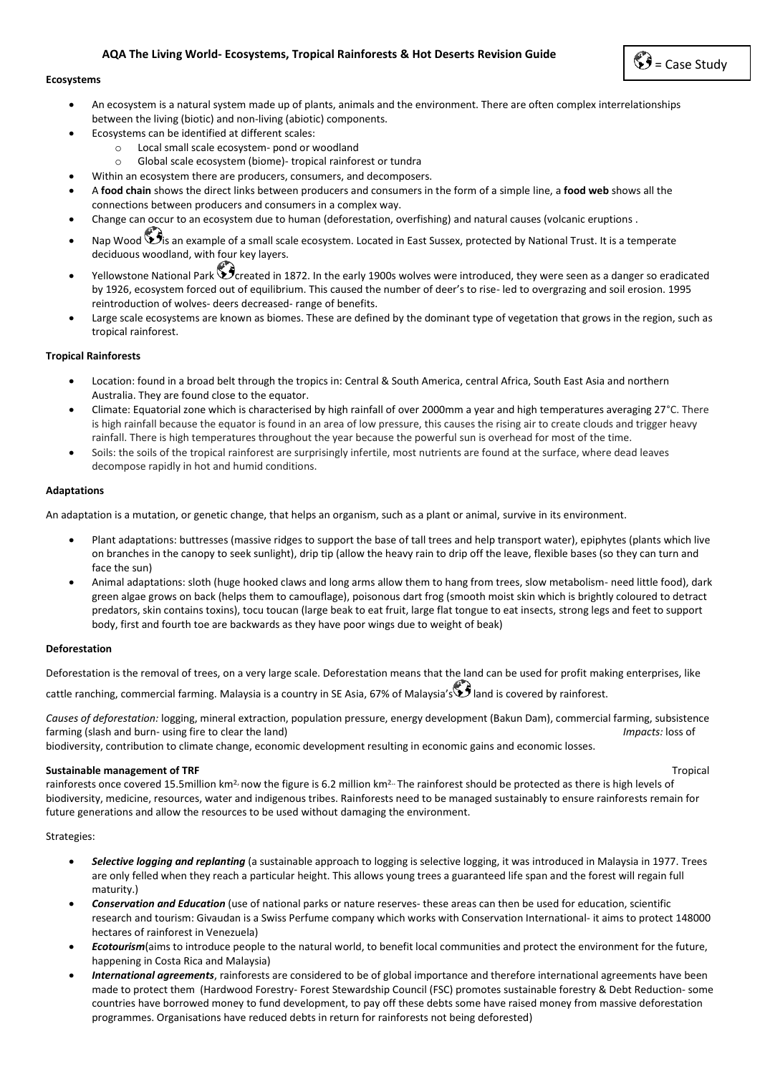# **AQA The Living World- Ecosystems, Tropical Rainforests & Hot Deserts Revision Guide**

# $\mathbf{C}$  = Case Study

#### **Ecosystems**

- An ecosystem is a natural system made up of plants, animals and the environment. There are often complex interrelationships between the living (biotic) and non-living (abiotic) components.
- Ecosystems can be identified at different scales:
	- o Local small scale ecosystem- pond or woodland
	- o Global scale ecosystem (biome)- tropical rainforest or tundra
- Within an ecosystem there are producers, consumers, and decomposers.
- A **food chain** shows the direct links between producers and consumers in the form of a simple line, a **food web** shows all the connections between producers and consumers in a complex way.
- Change can occur to an ecosystem due to human (deforestation, overfishing) and natural causes (volcanic eruptions .
- Nap Wood  $\bigcirc$  is an example of a small scale ecosystem. Located in East Sussex, protected by National Trust. It is a temperate deciduous woodland, with four key layers.
- Yellowstone National Park  $\check{\mathbf{S}}$ created in 1872. In the early 1900s wolves were introduced, they were seen as a danger so eradicated by 1926, ecosystem forced out of equilibrium. This caused the number of deer's to rise- led to overgrazing and soil erosion. 1995 reintroduction of wolves- deers decreased- range of benefits.
- Large scale ecosystems are known as biomes. These are defined by the dominant type of vegetation that grows in the region, such as tropical rainforest.

# **Tropical Rainforests**

- Location: found in a broad belt through the tropics in: Central & South America, central Africa, South East Asia and northern Australia. They are found close to the equator.
- Climate: Equatorial zone which is characterised by high rainfall of over 2000mm a year and high temperatures averaging 27°C. There is high rainfall because the equator is found in an area of low pressure, this causes the rising air to create clouds and trigger heavy rainfall. There is high temperatures throughout the year because the powerful sun is overhead for most of the time.
- Soils: the soils of the tropical rainforest are surprisingly infertile, most nutrients are found at the surface, where dead leaves decompose rapidly in hot and humid conditions.

# **Adaptations**

An adaptation is a mutation, or genetic change, that helps an organism, such as a plant or animal, survive in its environment.

- Plant adaptations: buttresses (massive ridges to support the base of tall trees and help transport water), epiphytes (plants which live on branches in the canopy to seek sunlight), drip tip (allow the heavy rain to drip off the leave, flexible bases (so they can turn and face the sun)
- Animal adaptations: sloth (huge hooked claws and long arms allow them to hang from trees, slow metabolism- need little food), dark green algae grows on back (helps them to camouflage), poisonous dart frog (smooth moist skin which is brightly coloured to detract predators, skin contains toxins), tocu toucan (large beak to eat fruit, large flat tongue to eat insects, strong legs and feet to support body, first and fourth toe are backwards as they have poor wings due to weight of beak)

# **Deforestation**

Deforestation is the removal of trees, on a very large scale. Deforestation means that the land can be used for profit making enterprises, like cattle ranching, commercial farming. Malaysia is a country in SE Asia, 67% of Malaysia's land is covered by rainforest.

*Causes of deforestation:* logging, mineral extraction, population pressure, energy development (Bakun Dam), commercial farming, subsistence farming (slash and burn- using fire to clear the land) *Impacts:* loss of

biodiversity, contribution to climate change, economic development resulting in economic gains and economic losses.

# **Sustainable management of TRF Trapical Sustainable management of TRF Trapical**

rainforests once covered 15.5million km**2,** now the figure is 6.2 million km**2..** The rainforest should be protected as there is high levels of biodiversity, medicine, resources, water and indigenous tribes. Rainforests need to be managed sustainably to ensure rainforests remain for future generations and allow the resources to be used without damaging the environment.

#### Strategies:

- *Selective logging and replanting* (a sustainable approach to logging is selective logging, it was introduced in Malaysia in 1977. Trees are only felled when they reach a particular height. This allows young trees a guaranteed life span and the forest will regain full maturity.)
- *Conservation and Education* (use of national parks or nature reserves- these areas can then be used for education, scientific research and tourism: Givaudan is a Swiss Perfume company which works with Conservation International- it aims to protect 148000 hectares of rainforest in Venezuela)
- *Ecotourism*(aims to introduce people to the natural world, to benefit local communities and protect the environment for the future, happening in Costa Rica and Malaysia)
- *International agreements*, rainforests are considered to be of global importance and therefore international agreements have been made to protect them (Hardwood Forestry- Forest Stewardship Council (FSC) promotes sustainable forestry & Debt Reduction- some countries have borrowed money to fund development, to pay off these debts some have raised money from massive deforestation programmes. Organisations have reduced debts in return for rainforests not being deforested)